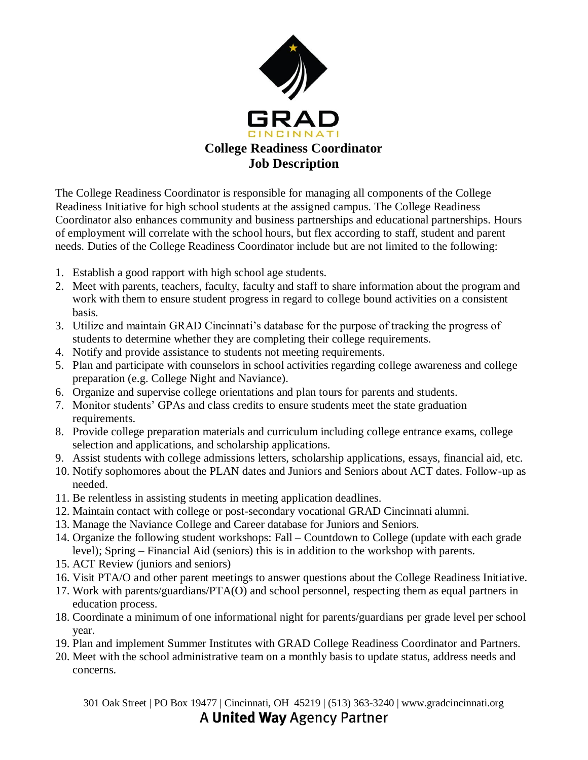

The College Readiness Coordinator is responsible for managing all components of the College Readiness Initiative for high school students at the assigned campus. The College Readiness Coordinator also enhances community and business partnerships and educational partnerships. Hours of employment will correlate with the school hours, but flex according to staff, student and parent needs. Duties of the College Readiness Coordinator include but are not limited to the following:

- 1. Establish a good rapport with high school age students.
- 2. Meet with parents, teachers, faculty, faculty and staff to share information about the program and work with them to ensure student progress in regard to college bound activities on a consistent basis.
- 3. Utilize and maintain GRAD Cincinnati's database for the purpose of tracking the progress of students to determine whether they are completing their college requirements.
- 4. Notify and provide assistance to students not meeting requirements.
- 5. Plan and participate with counselors in school activities regarding college awareness and college preparation (e.g. College Night and Naviance).
- 6. Organize and supervise college orientations and plan tours for parents and students.
- 7. Monitor students' GPAs and class credits to ensure students meet the state graduation requirements.
- 8. Provide college preparation materials and curriculum including college entrance exams, college selection and applications, and scholarship applications.
- 9. Assist students with college admissions letters, scholarship applications, essays, financial aid, etc.
- 10. Notify sophomores about the PLAN dates and Juniors and Seniors about ACT dates. Follow-up as needed.
- 11. Be relentless in assisting students in meeting application deadlines.
- 12. Maintain contact with college or post-secondary vocational GRAD Cincinnati alumni.
- 13. Manage the Naviance College and Career database for Juniors and Seniors.
- 14. Organize the following student workshops: Fall Countdown to College (update with each grade level); Spring – Financial Aid (seniors) this is in addition to the workshop with parents.
- 15. ACT Review (juniors and seniors)
- 16. Visit PTA/O and other parent meetings to answer questions about the College Readiness Initiative.
- 17. Work with parents/guardians/PTA(O) and school personnel, respecting them as equal partners in education process.
- 18. Coordinate a minimum of one informational night for parents/guardians per grade level per school year.
- 19. Plan and implement Summer Institutes with GRAD College Readiness Coordinator and Partners.
- 20. Meet with the school administrative team on a monthly basis to update status, address needs and concerns.

301 Oak Street | PO Box 19477 | Cincinnati, OH 45219 | (513) 363-3240 | [www.gradcincinnati.org](http://www.gradcincinnati.org/) **A United Way Agency Partner**